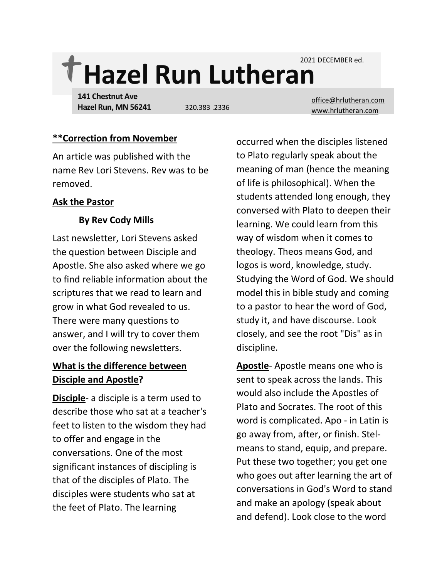2021 DECEMBER ed.

# **Hazel Run Lutheran**

**141 Chestnut Ave Hazel Run, MN 56241**

[office@hrlutheran.com](mailto:office@hrlutheran.com) 320.383 .2336 [www.hrlutheran.com](http://www.hrlutheran.com/)

#### **\*\*Correction from November**

An article was published with the name Rev Lori Stevens. Rev was to be removed.

#### **Ask the Pastor**

## **By Rev Cody Mills**

Last newsletter, Lori Stevens asked the question between Disciple and Apostle. She also asked where we go to find reliable information about the scriptures that we read to learn and grow in what God revealed to us. There were many questions to answer, and I will try to cover them over the following newsletters.

## **What is the difference between Disciple and Apostle?**

**Disciple**- a disciple is a term used to describe those who sat at a teacher's feet to listen to the wisdom they had to offer and engage in the conversations. One of the most significant instances of discipling is that of the disciples of Plato. The disciples were students who sat at the feet of Plato. The learning

occurred when the disciples listened to Plato regularly speak about the meaning of man (hence the meaning of life is philosophical). When the students attended long enough, they conversed with Plato to deepen their learning. We could learn from this way of wisdom when it comes to theology. Theos means God, and logos is word, knowledge, study. Studying the Word of God. We should model this in bible study and coming to a pastor to hear the word of God, study it, and have discourse. Look closely, and see the root "Dis" as in discipline.

**Apostle**- Apostle means one who is sent to speak across the lands. This would also include the Apostles of Plato and Socrates. The root of this word is complicated. Apo - in Latin is go away from, after, or finish. Stelmeans to stand, equip, and prepare. Put these two together; you get one who goes out after learning the art of conversations in God's Word to stand and make an apology (speak about and defend). Look close to the word